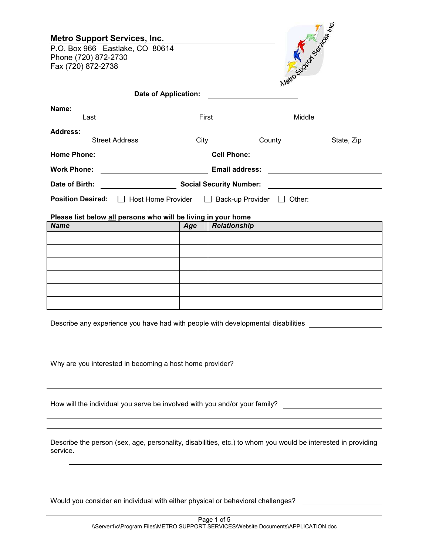| <b>Metro Support Services, Inc.</b><br>P.O. Box 966 Eastlake, CO 80614<br>Phone (720) 872-2730<br>Fax (720) 872-2738 |       |                                | Metro supplication fre |            |
|----------------------------------------------------------------------------------------------------------------------|-------|--------------------------------|------------------------|------------|
| Date of Application:                                                                                                 |       |                                |                        |            |
| Name:<br>Last                                                                                                        | First |                                | Middle                 |            |
| Address:<br><b>Street Address</b>                                                                                    | City  | County                         |                        | State, Zip |
| <b>Home Phone:</b><br><u> 1990 - Johann Barbara, martin eta politikar</u>                                            |       | <b>Cell Phone:</b>             |                        |            |
| <b>Work Phone:</b>                                                                                                   |       | <b>Email address:</b>          |                        |            |
| Date of Birth:                                                                                                       |       | <b>Social Security Number:</b> |                        |            |
| <b>Position Desired:</b><br><b>Host Home Provider</b>                                                                |       | Back-up Provider               | Other:                 |            |
| Please list below all persons who will be living in your home                                                        |       |                                |                        |            |
| <b>Name</b>                                                                                                          | Age   | <b>Relationship</b>            |                        |            |
|                                                                                                                      |       |                                |                        |            |
|                                                                                                                      |       |                                |                        |            |
|                                                                                                                      |       |                                |                        |            |
|                                                                                                                      |       |                                |                        |            |

Describe any experience you have had with people with developmental disabilities

Why are you interested in becoming a host home provider?

How will the individual you serve be involved with you and/or your family?

Describe the person (sex, age, personality, disabilities, etc.) to whom you would be interested in providing service.

Would you consider an individual with either physical or behavioral challenges?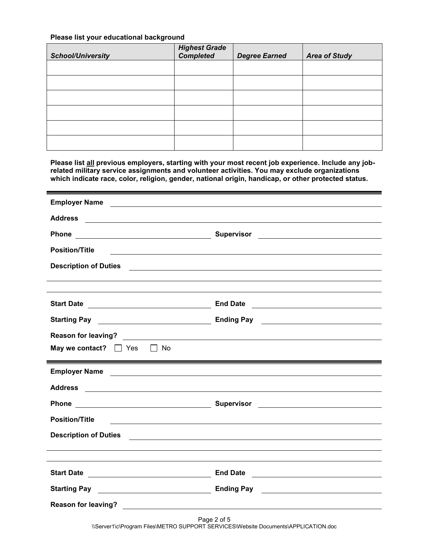## **Please list your educational background**

| <b>School/University</b> | <b>Highest Grade</b><br>Completed | <b>Degree Earned</b> | <b>Area of Study</b> |
|--------------------------|-----------------------------------|----------------------|----------------------|
|                          |                                   |                      |                      |
|                          |                                   |                      |                      |
|                          |                                   |                      |                      |
|                          |                                   |                      |                      |
|                          |                                   |                      |                      |
|                          |                                   |                      |                      |

**Please list all previous employers, starting with your most recent job experience. Include any jobrelated military service assignments and volunteer activities. You may exclude organizations which indicate race, color, religion, gender, national origin, handicap, or other protected status.** 

| <b>Position/Title</b>                                                       |                                                                                                                      |
|-----------------------------------------------------------------------------|----------------------------------------------------------------------------------------------------------------------|
|                                                                             |                                                                                                                      |
|                                                                             |                                                                                                                      |
|                                                                             |                                                                                                                      |
| <b>Start Date</b>                                                           | <b>End Date</b><br><u> 1989 - Johann Stein, fransk politik (d. 1989)</u>                                             |
| <b>Starting Pay</b>                                                         | <b>Ending Pay Finding Pay 1998</b>                                                                                   |
|                                                                             |                                                                                                                      |
| May we contact? $\Box$ Yes $\Box$ No                                        |                                                                                                                      |
|                                                                             |                                                                                                                      |
|                                                                             |                                                                                                                      |
| <b>Employer Name</b><br><u> 1989 - Johann Barn, amerikansk politiker (</u>  |                                                                                                                      |
| <b>Address</b><br><u> 1989 - Johann Barnett, fransk politiker (d. 1989)</u> |                                                                                                                      |
|                                                                             |                                                                                                                      |
| <b>Position/Title</b><br><u> 1989 - Johann John Stein, markin fizikar (</u> |                                                                                                                      |
| <b>Description of Duties</b>                                                |                                                                                                                      |
|                                                                             | <u> 1989 - Andrea Barbara, poeta esperanto-poeta esperanto-poeta esperanto-poeta esperanto-poeta esperanto-poeta</u> |
|                                                                             |                                                                                                                      |
|                                                                             |                                                                                                                      |
| Starting Pay <u>______________________________</u>                          | <u> 1989 - Johann Barnett, fransk politik (d. 1989)</u>                                                              |
|                                                                             |                                                                                                                      |

\\Server1\c\Program Files\METRO SUPPORT SERVICES\Website Documents\APPLICATION.doc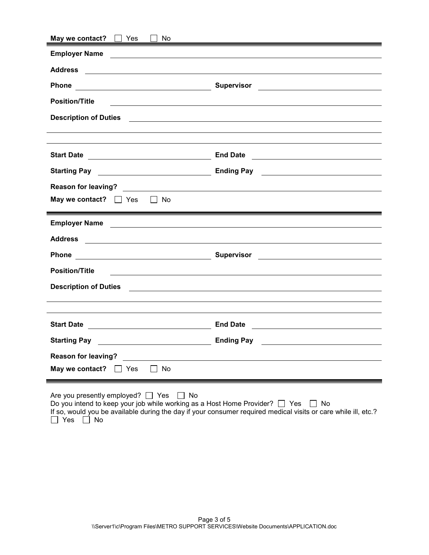| May we contact?<br>Yes<br>No                                                                                                               |                                                                                                                                                                                                                                                    |
|--------------------------------------------------------------------------------------------------------------------------------------------|----------------------------------------------------------------------------------------------------------------------------------------------------------------------------------------------------------------------------------------------------|
| <b>Employer Name</b>                                                                                                                       |                                                                                                                                                                                                                                                    |
| <b>Address</b><br><u> 1989 - Johann Harry Harry Harry Harry Harry Harry Harry Harry Harry Harry Harry Harry Harry Harry Harry Harry</u>    |                                                                                                                                                                                                                                                    |
| <b>Phone</b>                                                                                                                               | <b>Supervisor</b><br><u> 1989 - Johann Stein, fransk politik (d. 1989)</u>                                                                                                                                                                         |
| <b>Position/Title</b>                                                                                                                      |                                                                                                                                                                                                                                                    |
| <b>Description of Duties</b>                                                                                                               | <u> 1980 - Johann Stein, marwolaethau a bhann an t-Amhain an t-Amhain an t-Amhain an t-Amhain an t-Amhain an t-A</u>                                                                                                                               |
|                                                                                                                                            |                                                                                                                                                                                                                                                    |
| <b>Start Date</b><br><u> 1989 - Johann Barn, mars ann an t-Amhair an t-Amhair an t-Amhair an t-Amhair an t-Amhair an t-Amhair an t-Amh</u> | <b>End Date</b><br><u> Alexandria de la contexta de la contexta de la contexta de la contexta de la contexta de la contexta de la c</u>                                                                                                            |
| <b>Starting Pay</b>                                                                                                                        | Ending Pay <u>Particular Contract Contract Contract Contract Contract Contract Contract Contract Contract Contract Contract Contract Contract Contract Contract Contract Contract Contract Contract Contract Contract Contract C</u>               |
|                                                                                                                                            |                                                                                                                                                                                                                                                    |
| May we contact? $\Box$ Yes $\Box$ No                                                                                                       |                                                                                                                                                                                                                                                    |
|                                                                                                                                            |                                                                                                                                                                                                                                                    |
| <b>Employer Name</b><br><u> 2008 - Andrea Andrew Maria (h. 1878).</u>                                                                      |                                                                                                                                                                                                                                                    |
| <b>Address</b><br><u> 1980 - Johann Stein, fransk politik (f. 1980)</u>                                                                    |                                                                                                                                                                                                                                                    |
| Phone                                                                                                                                      | Supervisor<br><u>and the contract of the contract of the contract of the contract of the contract of the contract of the contract of the contract of the contract of the contract of the contract of the contract of the contract of the contr</u> |
| <b>Position/Title</b><br><u> 1989 - Johann Stein, fransk politik (f. 1989)</u>                                                             |                                                                                                                                                                                                                                                    |
| <b>Description of Duties</b>                                                                                                               | <u> Andreas Andreas Andreas Andreas Andreas Andreas Andreas Andreas Andreas Andreas Andreas Andreas Andreas Andr</u>                                                                                                                               |
|                                                                                                                                            |                                                                                                                                                                                                                                                    |
|                                                                                                                                            |                                                                                                                                                                                                                                                    |
| <b>Start Date</b>                                                                                                                          | <b>End Date</b><br><u> 1989 - Johann Stein, fransk politik (d. 1989)</u>                                                                                                                                                                           |
| <b>Starting Pay</b>                                                                                                                        | <b>Ending Pay</b>                                                                                                                                                                                                                                  |
| <b>Reason for leaving?</b>                                                                                                                 |                                                                                                                                                                                                                                                    |
| No<br>May we contact?<br>Yes                                                                                                               |                                                                                                                                                                                                                                                    |
| Are you presently employed? $\Box$ Yes<br>No<br>Do you intend to keep your job while working as a Host Home Provider? $\Box$ Yes           | No<br>If so, would you be available during the day if your consumer required medical visits or care while ill, etc.?                                                                                                                               |

Yes ⊔ No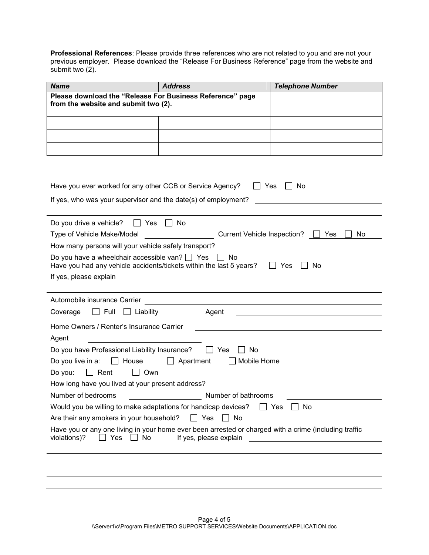**Professional References**: Please provide three references who are not related to you and are not your previous employer. Please download the "Release For Business Reference" page from the website and submit two (2).

| <b>Name</b>                                                                                       | <b>Address</b> | <b>Telephone Number</b> |
|---------------------------------------------------------------------------------------------------|----------------|-------------------------|
| Please download the "Release For Business Reference" page<br>from the website and submit two (2). |                |                         |
|                                                                                                   |                |                         |
|                                                                                                   |                |                         |
|                                                                                                   |                |                         |

| Have you ever worked for any other CCB or Service Agency?<br>Yes<br>No                                                                                                                                                          |
|---------------------------------------------------------------------------------------------------------------------------------------------------------------------------------------------------------------------------------|
| If yes, who was your supervisor and the date(s) of employment?                                                                                                                                                                  |
|                                                                                                                                                                                                                                 |
| Do you drive a vehicle? $\Box$ Yes<br>IINo                                                                                                                                                                                      |
| Type of Vehicle Make/Model<br>Current Vehicle Inspection?<br>II Yes<br>No.                                                                                                                                                      |
| How many persons will your vehicle safely transport?                                                                                                                                                                            |
| Do you have a wheelchair accessible van? $\Box$ Yes<br>II No<br>Have you had any vehicle accidents/tickets within the last 5 years?<br>$\Box$ Yes<br>No.                                                                        |
| If yes, please explain<br><u> 1980 - John Barnett, fransk politiker (d. 1980)</u>                                                                                                                                               |
|                                                                                                                                                                                                                                 |
| Automobile insurance Carrier [1990] [1990] [1990] [1990] [1990] [1990] [1990] [1990] [1990] [1990] [1990] [199                                                                                                                  |
| Agent<br>$\Box$ Full<br>$\Box$ Liability<br>Coverage                                                                                                                                                                            |
| Home Owners / Renter's Insurance Carrier                                                                                                                                                                                        |
| Agent                                                                                                                                                                                                                           |
| Do you have Professional Liability Insurance? $\Box$ Yes<br>No.                                                                                                                                                                 |
| Do you live in a:<br>$\Box$ House<br>Mobile Home<br>Apartment                                                                                                                                                                   |
| $\Box$ Rent<br>$\Box$ Own<br>Do you:                                                                                                                                                                                            |
| How long have you lived at your present address?                                                                                                                                                                                |
| Number of bathrooms<br>Number of bedrooms                                                                                                                                                                                       |
| Would you be willing to make adaptations for handicap devices? $\Box$ Yes<br>No.                                                                                                                                                |
| $\vert$   No<br>Are their any smokers in your household?<br>$\Box$ Yes                                                                                                                                                          |
| Have you or any one living in your home ever been arrested or charged with a crime (including traffic<br>$\Box$ No<br>violations)?<br>Yes<br>If yes, please explain<br><u> 1980 - Johann Stein, fransk kampbeskip (d. 1980)</u> |
|                                                                                                                                                                                                                                 |
|                                                                                                                                                                                                                                 |
|                                                                                                                                                                                                                                 |